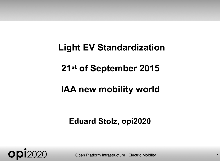# **Light EV Standardization 21st of September 2015**

#### **IAA new mobility world**

#### **Eduard Stolz, opi2020**



**ODI**2020 Open Platform Infrastructure Electric Mobility 1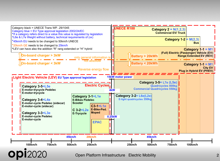

**opi**2020 Open Platform Infrastructure Electric Mobility <sup>2</sup>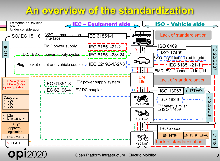#### **An overview of the standardization**

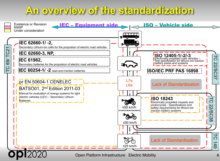#### **An overview of the standardization**

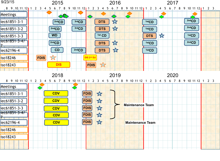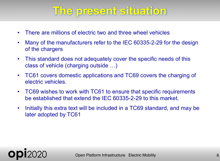## **The present situation**

- There are millions of electric two and three wheel vehicles
- Many of the manufacturers refer to the IEC 60335-2-29 for the design of the chargers
- This standard does not adequately cover the specific needs of this class of vehicle (charging outside …)
- TC61 covers domestic applications and TC69 covers the charging of electric vehicles.
- TC69 wishes to work with TC61 to ensure that specific requirements be established that extend the IEC 60335-2-29 to this market.
- Initially this extra text will be included in a TC69 standard, and may be later adopted by TC61

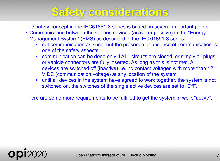# **Safety considerations**

The safety concept in the IEC61851-3 series is based on several important points.

- Communication between the various devices (active or passive) in the "Energy Management System" (EMS) as described in the IEC 61851-3 series.
	- not communication as such, but the presence or absence of communication is one of the safety aspects;
	- communication can be done only if ALL circuits are closed, or simply all plugs or vehicle connectors are fully inserted. As long as this is not met, ALL devices are switched off (inactive) i.e. no contact voltages with more than 12 V DC (communication voltage) at any location of the system;
	- until all devices in the system have agreed to work together, the system is not switched on, the switches of the single active devices are set to "Off".

There are some more requirements to be fulfilled to get the system in work "active".

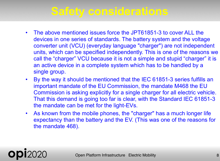### **Safety considerations**

- The above mentioned issues force the JPT61851-3 to cover ALL the devices in one series of standards. The battery system and the voltage converter unit (VCU) (everyday language "charger") are not independent units, which can be specified independently. This is one of the reasons we call the "charger" VCU because it is not a simple and stupid "charger" it is an active device in a complete system which has to be handled by a single group.
- By the way it should be mentioned that the IEC 61851-3 series fulfills an important mandate of the EU Commission, the mandate M468 the EU Commission is asking explicitly for a single charger for all electric vehicle. That this demand is going too far is clear, with the Standard IEC 61851-3 the mandate can be met for the light-EVs.
- As known from the mobile phones, the "charger" has a much longer life expectancy than the battery and the EV. (This was one of the reasons for the mandate 468).

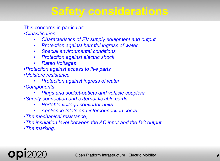### **Safety considerations**

This concerns in particular:

•*Classification*

- *Characteristics of EV supply equipment and output*
- *Protection against harmful ingress of water*
- *Special environmental conditions*
- *Protection against electric shock*
- *Rated Voltages*
- •*Protection against access to live parts*
- •*Moisture resistance*
	- *Protection against ingress of water*
- •*Components*
	- *Plugs and socket-outlets and vehicle couplers*
- •*Supply connection and external flexible cords*
	- *Portable voltage converter units*
	- *Appliance Inlets and interconnection cords*
- •*The mechanical resistance,*
- •*The insulation level between the AC input and the DC output,*
- •*The marking.*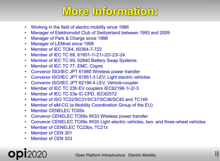# **More Information:**

- Working in the field of electro mobility since 1986
- Manager of Elektromobil Club of Switzerland between 1993 and 2009
- Manager of Park & Charge since 1998
- Manager of LEMnet since 1998
- Member of IEC TC64, 60364-7-722
- Member of IEC TC 69, 61851-1/-21/-22/-23/-24
- Member of IEC TC 69, 62840 Battery Swap Systems
- Member of IEC TC 77, EMC, Cispre
- Convenor ISO/IEC JPT 61980 Wireless power transfer
- Convenor ISO/IEC JPT 61851-3 LEV, Light electric vehicles
- Convenor ISO/IEC JPT 62196-4 LEV, Vehicle-coupler
- Member of IEC TC 23h EV couplers IEC62196-1/-2/-3
- Member of IEC TC 23e IC-CPD, IEC62572
- Member of ISO TC22/SC31/SC37/SC38/SC40 and TC149
- Member of eM-CG (e-Mobility Coordination Group of the EU)
- Member CENELEC TC69x
- Convenor CENELEC TC69x WG3 Wireless power transfer
- Convenor CENELEC TC69x WG5 Light electric vehicles, two- and three-wheel vehicles
- Member of CENELEC TC23bx, TC21x
- Member of CEN 301
- Member of CEN 333

#### **Open Platform Infrastructure Electric Mobility 1010**